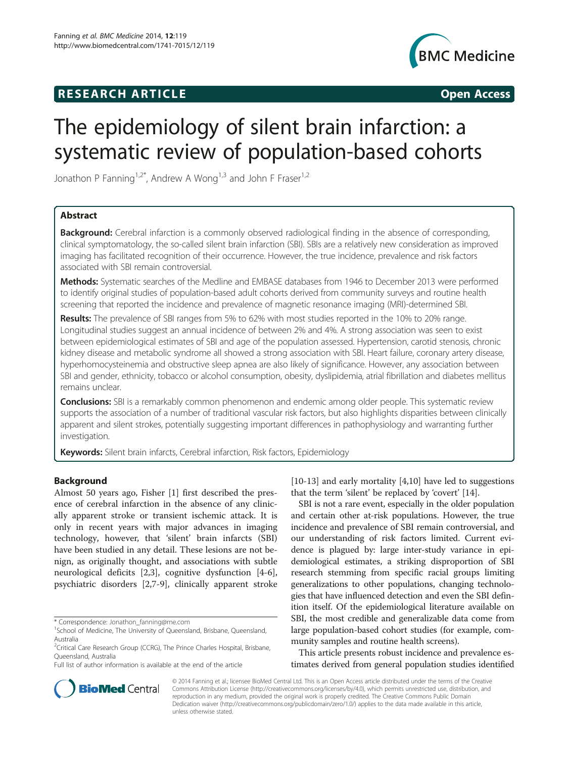## **RESEARCH ARTICLE Example 2014 CONSIDERING CONSIDERING CONSIDERING CONSIDERING CONSIDERING CONSIDERING CONSIDERING CONSIDERING CONSIDERING CONSIDERING CONSIDERING CONSIDERING CONSIDERING CONSIDERING CONSIDERING CONSIDE**



# The epidemiology of silent brain infarction: a systematic review of population-based cohorts

Jonathon P Fanning<sup>1,2\*</sup>, Andrew A Wong<sup>1,3</sup> and John F Fraser<sup>1,2</sup>

### Abstract

**Background:** Cerebral infarction is a commonly observed radiological finding in the absence of corresponding, clinical symptomatology, the so-called silent brain infarction (SBI). SBIs are a relatively new consideration as improved imaging has facilitated recognition of their occurrence. However, the true incidence, prevalence and risk factors associated with SBI remain controversial.

Methods: Systematic searches of the Medline and EMBASE databases from 1946 to December 2013 were performed to identify original studies of population-based adult cohorts derived from community surveys and routine health screening that reported the incidence and prevalence of magnetic resonance imaging (MRI)-determined SBI.

Results: The prevalence of SBI ranges from 5% to 62% with most studies reported in the 10% to 20% range. Longitudinal studies suggest an annual incidence of between 2% and 4%. A strong association was seen to exist between epidemiological estimates of SBI and age of the population assessed. Hypertension, carotid stenosis, chronic kidney disease and metabolic syndrome all showed a strong association with SBI. Heart failure, coronary artery disease, hyperhomocysteinemia and obstructive sleep apnea are also likely of significance. However, any association between SBI and gender, ethnicity, tobacco or alcohol consumption, obesity, dyslipidemia, atrial fibrillation and diabetes mellitus remains unclear.

Conclusions: SBI is a remarkably common phenomenon and endemic among older people. This systematic review supports the association of a number of traditional vascular risk factors, but also highlights disparities between clinically apparent and silent strokes, potentially suggesting important differences in pathophysiology and warranting further investigation.

Keywords: Silent brain infarcts, Cerebral infarction, Risk factors, Epidemiology

#### Background

Almost 50 years ago, Fisher [\[1](#page-8-0)] first described the presence of cerebral infarction in the absence of any clinically apparent stroke or transient ischemic attack. It is only in recent years with major advances in imaging technology, however, that 'silent' brain infarcts (SBI) have been studied in any detail. These lesions are not benign, as originally thought, and associations with subtle neurological deficits [\[2,3](#page-8-0)], cognitive dysfunction [[4-6](#page-8-0)], psychiatric disorders [[2,7-9](#page-8-0)], clinically apparent stroke

[[10-13](#page-8-0)] and early mortality [[4,10\]](#page-8-0) have led to suggestions that the term 'silent' be replaced by 'covert' [\[14\]](#page-8-0).

SBI is not a rare event, especially in the older population and certain other at-risk populations. However, the true incidence and prevalence of SBI remain controversial, and our understanding of risk factors limited. Current evidence is plagued by: large inter-study variance in epidemiological estimates, a striking disproportion of SBI research stemming from specific racial groups limiting generalizations to other populations, changing technologies that have influenced detection and even the SBI definition itself. Of the epidemiological literature available on SBI, the most credible and generalizable data come from large population-based cohort studies (for example, community samples and routine health screens).

This article presents robust incidence and prevalence estimates derived from general population studies identified



© 2014 Fanning et al.; licensee BioMed Central Ltd. This is an Open Access article distributed under the terms of the Creative Commons Attribution License [\(http://creativecommons.org/licenses/by/4.0\)](http://creativecommons.org/licenses/by/4.0), which permits unrestricted use, distribution, and reproduction in any medium, provided the original work is properly credited. The Creative Commons Public Domain Dedication waiver [\(http://creativecommons.org/publicdomain/zero/1.0/](http://creativecommons.org/publicdomain/zero/1.0/)) applies to the data made available in this article, unless otherwise stated.

<sup>\*</sup> Correspondence: [Jonathon\\_fanning@me.com](mailto:Jonathon_fanning@me.com) <sup>1</sup>

<sup>&</sup>lt;sup>1</sup>School of Medicine, The University of Queensland, Brisbane, Queensland, Australia

<sup>&</sup>lt;sup>2</sup>Critical Care Research Group (CCRG), The Prince Charles Hospital, Brisbane, Queensland, Australia

Full list of author information is available at the end of the article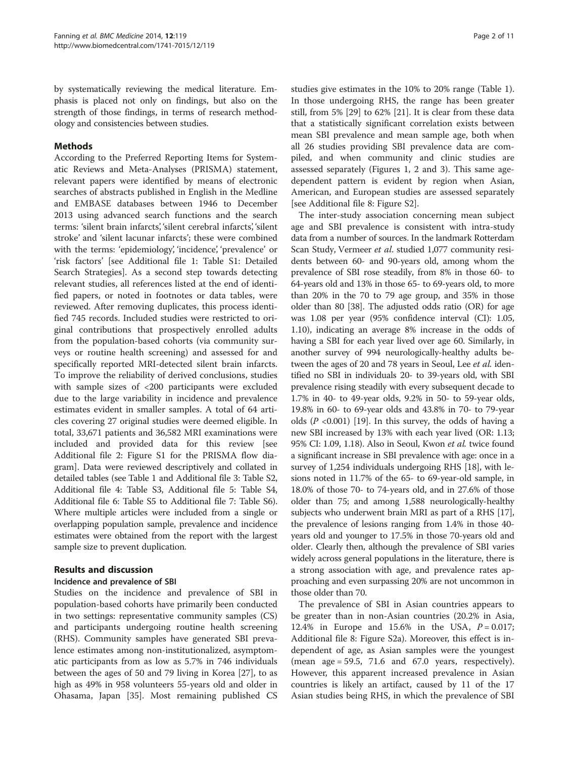<span id="page-1-0"></span>by systematically reviewing the medical literature. Emphasis is placed not only on findings, but also on the strength of those findings, in terms of research methodology and consistencies between studies.

#### Methods

According to the Preferred Reporting Items for Systematic Reviews and Meta-Analyses (PRISMA) statement, relevant papers were identified by means of electronic searches of abstracts published in English in the Medline and EMBASE databases between 1946 to December 2013 using advanced search functions and the search terms: 'silent brain infarcts', 'silent cerebral infarcts', 'silent stroke' and 'silent lacunar infarcts'; these were combined with the terms: 'epidemiology', 'incidence', 'prevalence' or 'risk factors' [see Additional file [1:](#page-8-0) Table S1: Detailed Search Strategies]. As a second step towards detecting relevant studies, all references listed at the end of identified papers, or noted in footnotes or data tables, were reviewed. After removing duplicates, this process identified 745 records. Included studies were restricted to original contributions that prospectively enrolled adults from the population-based cohorts (via community surveys or routine health screening) and assessed for and specifically reported MRI-detected silent brain infarcts. To improve the reliability of derived conclusions, studies with sample sizes of <200 participants were excluded due to the large variability in incidence and prevalence estimates evident in smaller samples. A total of 64 articles covering 27 original studies were deemed eligible. In total, 33,671 patients and 36,582 MRI examinations were included and provided data for this review [see Additional file [2](#page-8-0): Figure S1 for the PRISMA flow diagram]. Data were reviewed descriptively and collated in detailed tables (see Table [1](#page-2-0) and Additional file [3](#page-8-0): Table S2, Additional file [4:](#page-8-0) Table S3, Additional file [5](#page-8-0): Table S4, Additional file [6:](#page-8-0) Table S5 to Additional file [7:](#page-8-0) Table S6). Where multiple articles were included from a single or overlapping population sample, prevalence and incidence estimates were obtained from the report with the largest sample size to prevent duplication.

#### Results and discussion

#### Incidence and prevalence of SBI

Studies on the incidence and prevalence of SBI in population-based cohorts have primarily been conducted in two settings: representative community samples (CS) and participants undergoing routine health screening (RHS). Community samples have generated SBI prevalence estimates among non-institutionalized, asymptomatic participants from as low as 5.7% in 746 individuals between the ages of 50 and 79 living in Korea [[27](#page-9-0)], to as high as 49% in 958 volunteers 55-years old and older in Ohasama, Japan [[35\]](#page-9-0). Most remaining published CS

studies give estimates in the 10% to 20% range (Table [1](#page-2-0)). In those undergoing RHS, the range has been greater still, from 5% [\[29](#page-9-0)] to 62% [\[21](#page-8-0)]. It is clear from these data that a statistically significant correlation exists between mean SBI prevalence and mean sample age, both when all 26 studies providing SBI prevalence data are compiled, and when community and clinic studies are assessed separately (Figures [1, 2](#page-3-0) and [3\)](#page-4-0). This same agedependent pattern is evident by region when Asian, American, and European studies are assessed separately [see Additional file [8:](#page-8-0) Figure S2].

The inter-study association concerning mean subject age and SBI prevalence is consistent with intra-study data from a number of sources. In the landmark Rotterdam Scan Study, Vermeer et al. studied 1,077 community residents between 60- and 90-years old, among whom the prevalence of SBI rose steadily, from 8% in those 60- to 64-years old and 13% in those 65- to 69-years old, to more than 20% in the 70 to 79 age group, and 35% in those older than 80 [\[38\]](#page-9-0). The adjusted odds ratio (OR) for age was 1.08 per year (95% confidence interval (CI): 1.05, 1.10), indicating an average 8% increase in the odds of having a SBI for each year lived over age 60. Similarly, in another survey of 994 neurologically-healthy adults between the ages of 20 and 78 years in Seoul, Lee et al. identified no SBI in individuals 20- to 39-years old, with SBI prevalence rising steadily with every subsequent decade to 1.7% in 40- to 49-year olds, 9.2% in 50- to 59-year olds, 19.8% in 60- to 69-year olds and 43.8% in 70- to 79-year olds  $(P \le 0.001)$  [\[19\]](#page-8-0). In this survey, the odds of having a new SBI increased by 13% with each year lived (OR: 1.13; 95% CI: 1.09, 1.18). Also in Seoul, Kwon et al. twice found a significant increase in SBI prevalence with age: once in a survey of 1,254 individuals undergoing RHS [\[18](#page-8-0)], with lesions noted in 11.7% of the 65- to 69-year-old sample, in 18.0% of those 70- to 74-years old, and in 27.6% of those older than 75; and among 1,588 neurologically-healthy subjects who underwent brain MRI as part of a RHS [[17](#page-8-0)], the prevalence of lesions ranging from 1.4% in those 40 years old and younger to 17.5% in those 70-years old and older. Clearly then, although the prevalence of SBI varies widely across general populations in the literature, there is a strong association with age, and prevalence rates approaching and even surpassing 20% are not uncommon in those older than 70.

The prevalence of SBI in Asian countries appears to be greater than in non-Asian countries (20.2% in Asia, 12.4% in Europe and 15.6% in the USA,  $P = 0.017$ ; Additional file [8:](#page-8-0) Figure S2a). Moreover, this effect is independent of age, as Asian samples were the youngest (mean  $age = 59.5$ , 71.6 and 67.0 years, respectively). However, this apparent increased prevalence in Asian countries is likely an artifact, caused by 11 of the 17 Asian studies being RHS, in which the prevalence of SBI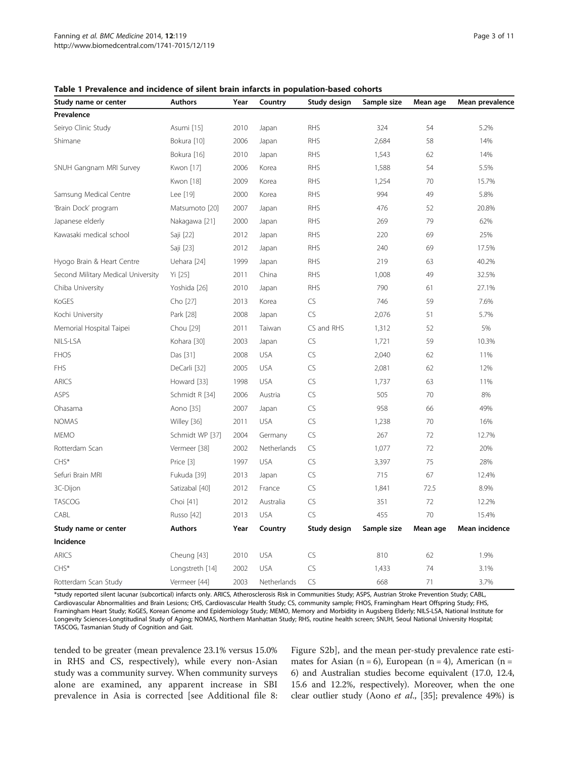| Study name or center               | <b>Authors</b>  | Year | Country     | Study design | Sample size | Mean age | Mean prevalence |
|------------------------------------|-----------------|------|-------------|--------------|-------------|----------|-----------------|
| Prevalence                         |                 |      |             |              |             |          |                 |
| Seiryo Clinic Study                | Asumi [15]      | 2010 | Japan       | <b>RHS</b>   | 324         | 54       | 5.2%            |
| Shimane                            | Bokura [10]     | 2006 | Japan       | <b>RHS</b>   | 2,684       | 58       | 14%             |
|                                    | Bokura [16]     | 2010 | Japan       | <b>RHS</b>   | 1,543       | 62       | 14%             |
| SNUH Gangnam MRI Survey            | Kwon [17]       | 2006 | Korea       | <b>RHS</b>   | 1,588       | 54       | 5.5%            |
|                                    | Kwon [18]       | 2009 | Korea       | <b>RHS</b>   | 1,254       | 70       | 15.7%           |
| Samsung Medical Centre             | Lee [19]        | 2000 | Korea       | <b>RHS</b>   | 994         | 49       | 5.8%            |
| 'Brain Dock' program               | Matsumoto [20]  | 2007 | Japan       | <b>RHS</b>   | 476         | 52       | 20.8%           |
| Japanese elderly                   | Nakagawa [21]   | 2000 | Japan       | <b>RHS</b>   | 269         | 79       | 62%             |
| Kawasaki medical school            | Saji [22]       | 2012 | Japan       | <b>RHS</b>   | 220         | 69       | 25%             |
|                                    | Saji [23]       | 2012 | Japan       | <b>RHS</b>   | 240         | 69       | 17.5%           |
| Hyogo Brain & Heart Centre         | Uehara [24]     | 1999 | Japan       | <b>RHS</b>   | 219         | 63       | 40.2%           |
| Second Military Medical University | Yi [25]         | 2011 | China       | <b>RHS</b>   | 1,008       | 49       | 32.5%           |
| Chiba University                   | Yoshida [26]    | 2010 | Japan       | <b>RHS</b>   | 790         | 61       | 27.1%           |
| KoGES                              | Cho [27]        | 2013 | Korea       | CS           | 746         | 59       | 7.6%            |
| Kochi University                   | Park [28]       | 2008 | Japan       | CS           | 2,076       | 51       | 5.7%            |
| Memorial Hospital Taipei           | Chou [29]       | 2011 | Taiwan      | CS and RHS   | 1,312       | 52       | 5%              |
| NILS-LSA                           | Kohara [30]     | 2003 | Japan       | CS           | 1,721       | 59       | 10.3%           |
| <b>FHOS</b>                        | Das [31]        | 2008 | <b>USA</b>  | CS           | 2,040       | 62       | 11%             |
| <b>FHS</b>                         | DeCarli [32]    | 2005 | <b>USA</b>  | CS           | 2,081       | 62       | 12%             |
| <b>ARICS</b>                       | Howard [33]     | 1998 | <b>USA</b>  | CS           | 1,737       | 63       | 11%             |
| ASPS                               | Schmidt R [34]  | 2006 | Austria     | CS           | 505         | 70       | 8%              |
| Ohasama                            | Aono [35]       | 2007 | Japan       | CS           | 958         | 66       | 49%             |
| <b>NOMAS</b>                       | Willey [36]     | 2011 | <b>USA</b>  | CS           | 1,238       | 70       | 16%             |
| <b>MEMO</b>                        | Schmidt WP [37] | 2004 | Germany     | CS           | 267         | 72       | 12.7%           |
| Rotterdam Scan                     | Vermeer [38]    | 2002 | Netherlands | CS           | 1,077       | 72       | 20%             |
| CHS*                               | Price [3]       | 1997 | <b>USA</b>  | CS           | 3,397       | 75       | 28%             |
| Sefuri Brain MRI                   | Fukuda [39]     | 2013 | Japan       | CS           | 715         | 67       | 12.4%           |
| 3C-Dijon                           | Satizabal [40]  | 2012 | France      | CS           | 1,841       | 72.5     | 8.9%            |
| <b>TASCOG</b>                      | Choi [41]       | 2012 | Australia   | CS           | 351         | 72       | 12.2%           |
| CABL                               | Russo [42]      | 2013 | <b>USA</b>  | CS           | 455         | 70       | 15.4%           |
| Study name or center               | <b>Authors</b>  | Year | Country     | Study design | Sample size | Mean age | Mean incidence  |
| Incidence                          |                 |      |             |              |             |          |                 |
| <b>ARICS</b>                       | Cheung [43]     | 2010 | <b>USA</b>  | CS           | 810         | 62       | 1.9%            |
| CHS*                               | Longstreth [14] | 2002 | <b>USA</b>  | CS           | 1,433       | 74       | 3.1%            |
| Rotterdam Scan Study               | Vermeer [44]    | 2003 | Netherlands | CS           | 668         | 71       | 3.7%            |

#### <span id="page-2-0"></span>Table 1 Prevalence and incidence of silent brain infarcts in population-based cohorts

\*study reported silent lacunar (subcortical) infarcts only. ARICS, Atherosclerosis Risk in Communities Study; ASPS, Austrian Stroke Prevention Study; CABL, Cardiovascular Abnormalities and Brain Lesions; CHS, Cardiovascular Health Study; CS, community sample; FHOS, Framingham Heart Offspring Study; FHS, Framingham Heart Study; KoGES, Korean Genome and Epidemiology Study; MEMO, Memory and Morbidity in Augsberg Elderly; NILS-LSA, National Institute for Longevity Sciences-Longtitudinal Study of Aging; NOMAS, Northern Manhattan Study; RHS, routine health screen; SNUH, Seoul National University Hospital; TASCOG, Tasmanian Study of Cognition and Gait.

tended to be greater (mean prevalence 23.1% versus 15.0% in RHS and CS, respectively), while every non-Asian study was a community survey. When community surveys alone are examined, any apparent increase in SBI prevalence in Asia is corrected [see Additional file [8](#page-8-0):

Figure S2b], and the mean per-study prevalence rate estimates for Asian (n = 6), European (n = 4), American (n = 6) and Australian studies become equivalent (17.0, 12.4, 15.6 and 12.2%, respectively). Moreover, when the one clear outlier study (Aono et al., [\[35\]](#page-9-0); prevalence 49%) is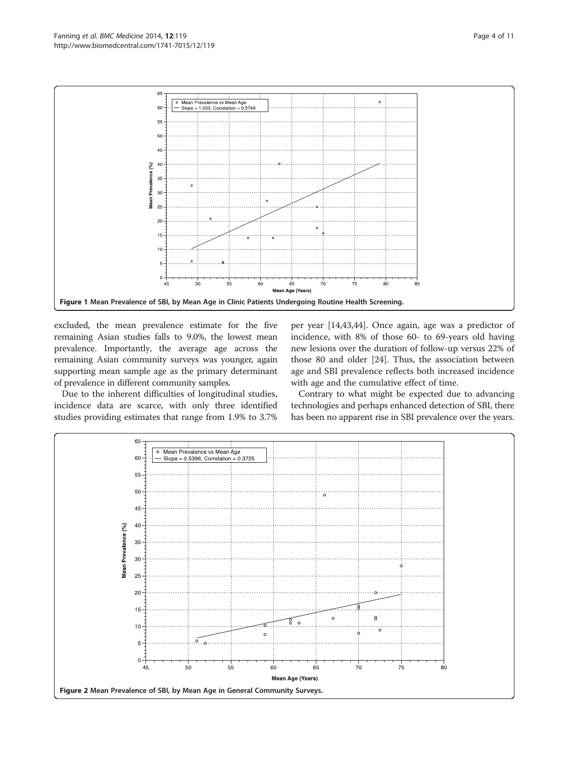<span id="page-3-0"></span>

excluded, the mean prevalence estimate for the five remaining Asian studies falls to 9.0%, the lowest mean prevalence. Importantly, the average age across the remaining Asian community surveys was younger, again supporting mean sample age as the primary determinant of prevalence in different community samples.

Due to the inherent difficulties of longitudinal studies, incidence data are scarce, with only three identified studies providing estimates that range from 1.9% to 3.7% per year [\[14](#page-8-0)[,43,44](#page-9-0)]. Once again, age was a predictor of incidence, with 8% of those 60- to 69-years old having new lesions over the duration of follow-up versus 22% of those 80 and older [\[24\]](#page-9-0). Thus, the association between age and SBI prevalence reflects both increased incidence with age and the cumulative effect of time.

Contrary to what might be expected due to advancing technologies and perhaps enhanced detection of SBI, there has been no apparent rise in SBI prevalence over the years.

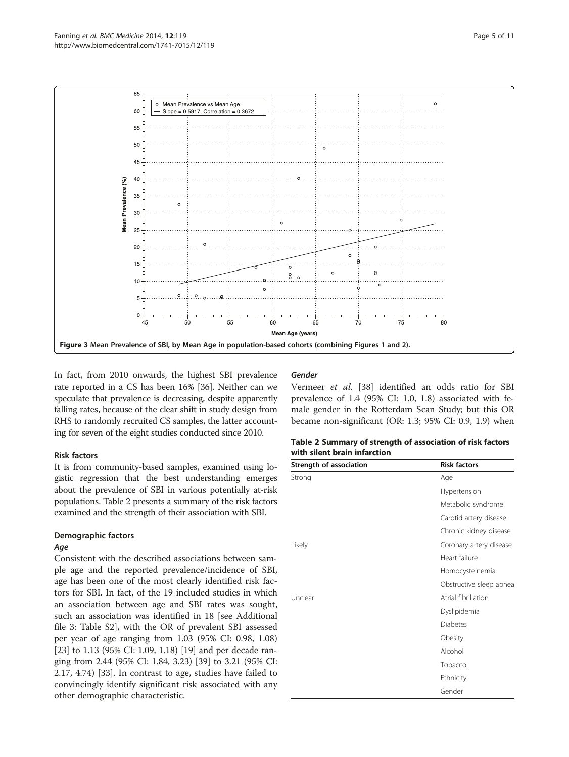<span id="page-4-0"></span>

In fact, from 2010 onwards, the highest SBI prevalence rate reported in a CS has been 16% [[36](#page-9-0)]. Neither can we speculate that prevalence is decreasing, despite apparently falling rates, because of the clear shift in study design from RHS to randomly recruited CS samples, the latter accounting for seven of the eight studies conducted since 2010.

#### Risk factors

It is from community-based samples, examined using logistic regression that the best understanding emerges about the prevalence of SBI in various potentially at-risk populations. Table 2 presents a summary of the risk factors examined and the strength of their association with SBI.

### Demographic factors

#### Age

Consistent with the described associations between sample age and the reported prevalence/incidence of SBI, age has been one of the most clearly identified risk factors for SBI. In fact, of the 19 included studies in which an association between age and SBI rates was sought, such an association was identified in 18 [see Additional file [3:](#page-8-0) Table S2], with the OR of prevalent SBI assessed per year of age ranging from 1.03 (95% CI: 0.98, 1.08) [[23\]](#page-9-0) to 1.13 (95% CI: 1.09, 1.18) [\[19](#page-8-0)] and per decade ranging from 2.44 (95% CI: 1.84, 3.23) [[39](#page-9-0)] to 3.21 (95% CI: 2.17, 4.74) [[33](#page-9-0)]. In contrast to age, studies have failed to convincingly identify significant risk associated with any other demographic characteristic.

#### Gender

Vermeer et al. [\[38](#page-9-0)] identified an odds ratio for SBI prevalence of 1.4 (95% CI: 1.0, 1.8) associated with female gender in the Rotterdam Scan Study; but this OR became non-significant (OR: 1.3; 95% CI: 0.9, 1.9) when

| Table 2 Summary of strength of association of risk factors |
|------------------------------------------------------------|
| with silent brain infarction                               |

| Strength of association | <b>Risk factors</b>     |  |  |
|-------------------------|-------------------------|--|--|
| Strong                  | Age                     |  |  |
|                         | Hypertension            |  |  |
|                         | Metabolic syndrome      |  |  |
|                         | Carotid artery disease  |  |  |
|                         | Chronic kidney disease  |  |  |
| Likely                  | Coronary artery disease |  |  |
|                         | Heart failure           |  |  |
|                         | Homocysteinemia         |  |  |
|                         | Obstructive sleep apnea |  |  |
| Unclear                 | Atrial fibrillation     |  |  |
|                         | Dyslipidemia            |  |  |
|                         | <b>Diabetes</b>         |  |  |
|                         | Obesity                 |  |  |
|                         | Alcohol                 |  |  |
|                         | Tobacco                 |  |  |
|                         | Ethnicity               |  |  |
|                         | Gender                  |  |  |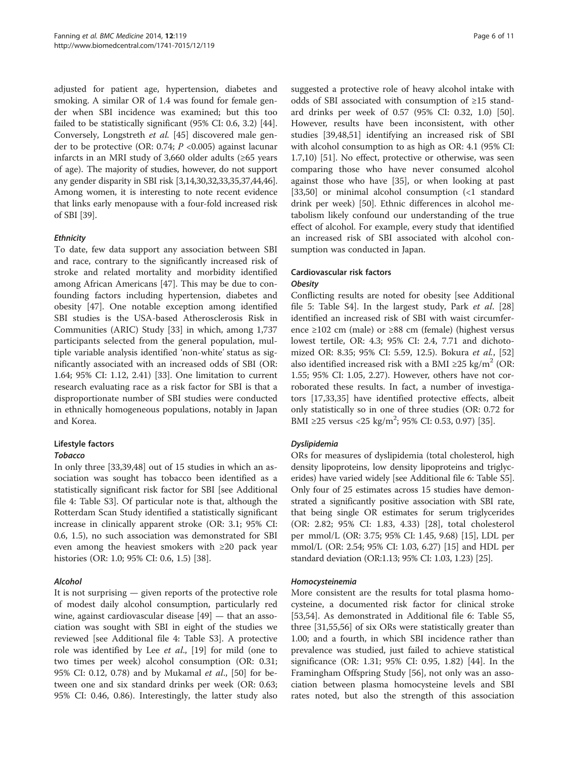adjusted for patient age, hypertension, diabetes and smoking. A similar OR of 1.4 was found for female gender when SBI incidence was examined; but this too failed to be statistically significant (95% CI: 0.6, 3.2) [\[44](#page-9-0)]. Conversely, Longstreth et al. [[45\]](#page-9-0) discovered male gender to be protective (OR: 0.74;  $P \le 0.005$ ) against lacunar infarcts in an MRI study of 3,660 older adults (≥65 years of age). The majority of studies, however, do not support any gender disparity in SBI risk [\[3,14,](#page-8-0)[30,32,33,35,37,44,46](#page-9-0)]. Among women, it is interesting to note recent evidence that links early menopause with a four-fold increased risk of SBI [[39](#page-9-0)].

#### **Ethnicity**

To date, few data support any association between SBI and race, contrary to the significantly increased risk of stroke and related mortality and morbidity identified among African Americans [[47\]](#page-9-0). This may be due to confounding factors including hypertension, diabetes and obesity [\[47\]](#page-9-0). One notable exception among identified SBI studies is the USA-based Atherosclerosis Risk in Communities (ARIC) Study [[33\]](#page-9-0) in which, among 1,737 participants selected from the general population, multiple variable analysis identified 'non-white' status as significantly associated with an increased odds of SBI (OR: 1.64; 95% CI: 1.12, 2.41) [\[33\]](#page-9-0). One limitation to current research evaluating race as a risk factor for SBI is that a disproportionate number of SBI studies were conducted in ethnically homogeneous populations, notably in Japan and Korea.

#### Lifestyle factors

#### Tobacco

In only three [[33,39,48\]](#page-9-0) out of 15 studies in which an association was sought has tobacco been identified as a statistically significant risk factor for SBI [see Additional file [4:](#page-8-0) Table S3]. Of particular note is that, although the Rotterdam Scan Study identified a statistically significant increase in clinically apparent stroke (OR: 3.1; 95% CI: 0.6, 1.5), no such association was demonstrated for SBI even among the heaviest smokers with ≥20 pack year histories (OR: 1.0; 95% CI: 0.6, 1.5) [[38\]](#page-9-0).

#### Alcohol

It is not surprising — given reports of the protective role of modest daily alcohol consumption, particularly red wine, against cardiovascular disease [\[49](#page-9-0)] — that an association was sought with SBI in eight of the studies we reviewed [see Additional file [4](#page-8-0): Table S3]. A protective role was identified by Lee *et al.*, [\[19](#page-8-0)] for mild (one to two times per week) alcohol consumption (OR: 0.31; 95% CI: 0.12, 0.78) and by Mukamal *et al.*, [\[50\]](#page-9-0) for between one and six standard drinks per week (OR: 0.63; 95% CI: 0.46, 0.86). Interestingly, the latter study also

suggested a protective role of heavy alcohol intake with odds of SBI associated with consumption of ≥15 standard drinks per week of 0.57 (95% CI: 0.32, 1.0) [\[50](#page-9-0)]. However, results have been inconsistent, with other studies [\[39,48,51](#page-9-0)] identifying an increased risk of SBI with alcohol consumption to as high as OR: 4.1 (95% CI: 1.7,10) [\[51](#page-9-0)]. No effect, protective or otherwise, was seen comparing those who have never consumed alcohol against those who have [[35](#page-9-0)], or when looking at past [[33,50\]](#page-9-0) or minimal alcohol consumption (<1 standard drink per week) [[50\]](#page-9-0). Ethnic differences in alcohol metabolism likely confound our understanding of the true effect of alcohol. For example, every study that identified an increased risk of SBI associated with alcohol consumption was conducted in Japan.

#### Cardiovascular risk factors **Obesity**

Conflicting results are noted for obesity [see Additional file [5:](#page-8-0) Table S4]. In the largest study, Park et al. [[28](#page-9-0)] identified an increased risk of SBI with waist circumference ≥102 cm (male) or ≥88 cm (female) (highest versus lowest tertile, OR: 4.3; 95% CI: 2.4, 7.71 and dichoto-mized OR: 8.35; 95% CI: 5.59, 12.5). Bokura et al., [[52](#page-9-0)] also identified increased risk with a BMI ≥25 kg/m<sup>2</sup> (OR: 1.55; 95% CI: 1.05, 2.27). However, others have not corroborated these results. In fact, a number of investigators [[17](#page-8-0),[33](#page-9-0),[35](#page-9-0)] have identified protective effects, albeit only statistically so in one of three studies (OR: 0.72 for BMI ≥25 versus <25 kg/m<sup>2</sup>; 95% CI: 0.53, 0.97) [\[35](#page-9-0)].

#### Dyslipidemia

ORs for measures of dyslipidemia (total cholesterol, high density lipoproteins, low density lipoproteins and triglycerides) have varied widely [see Additional file [6](#page-8-0): Table S5]. Only four of 25 estimates across 15 studies have demonstrated a significantly positive association with SBI rate, that being single OR estimates for serum triglycerides (OR: 2.82; 95% CI: 1.83, 4.33) [\[28](#page-9-0)], total cholesterol per mmol/L (OR: 3.75; 95% CI: 1.45, 9.68) [\[15\]](#page-8-0), LDL per mmol/L (OR: 2.54; 95% CI: 1.03, 6.27) [[15](#page-8-0)] and HDL per standard deviation (OR:1.13; 95% CI: 1.03, 1.23) [\[25\]](#page-9-0).

#### Homocysteinemia

More consistent are the results for total plasma homocysteine, a documented risk factor for clinical stroke [[53,54\]](#page-9-0). As demonstrated in Additional file [6](#page-8-0): Table S5, three [[31,55,56\]](#page-9-0) of six ORs were statistically greater than 1.00; and a fourth, in which SBI incidence rather than prevalence was studied, just failed to achieve statistical significance (OR: 1.31; 95% CI: 0.95, 1.82) [[44\]](#page-9-0). In the Framingham Offspring Study [\[56\]](#page-9-0), not only was an association between plasma homocysteine levels and SBI rates noted, but also the strength of this association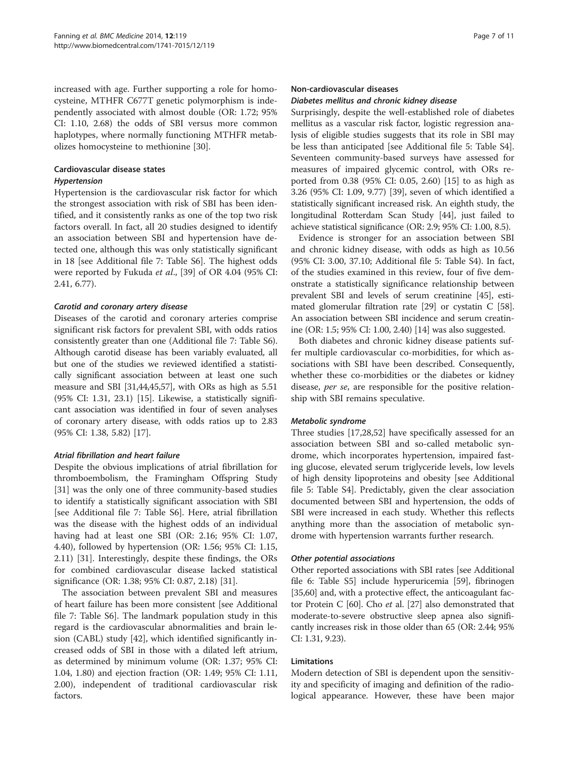increased with age. Further supporting a role for homocysteine, MTHFR C677T genetic polymorphism is independently associated with almost double (OR: 1.72; 95% CI: 1.10, 2.68) the odds of SBI versus more common haplotypes, where normally functioning MTHFR metabolizes homocysteine to methionine [\[30](#page-9-0)].

#### Cardiovascular disease states Hypertension

Hypertension is the cardiovascular risk factor for which the strongest association with risk of SBI has been identified, and it consistently ranks as one of the top two risk factors overall. In fact, all 20 studies designed to identify an association between SBI and hypertension have detected one, although this was only statistically significant in 18 [see Additional file [7](#page-8-0): Table S6]. The highest odds were reported by Fukuda et al., [[39\]](#page-9-0) of OR 4.04 (95% CI: 2.41, 6.77).

#### Carotid and coronary artery disease

Diseases of the carotid and coronary arteries comprise significant risk factors for prevalent SBI, with odds ratios consistently greater than one (Additional file [7](#page-8-0): Table S6). Although carotid disease has been variably evaluated, all but one of the studies we reviewed identified a statistically significant association between at least one such measure and SBI [\[31,44](#page-9-0),[45,57\]](#page-9-0), with ORs as high as 5.51 (95% CI: 1.31, 23.1) [[15](#page-8-0)]. Likewise, a statistically significant association was identified in four of seven analyses of coronary artery disease, with odds ratios up to 2.83 (95% CI: 1.38, 5.82) [\[17\]](#page-8-0).

#### Atrial fibrillation and heart failure

Despite the obvious implications of atrial fibrillation for thromboembolism, the Framingham Offspring Study [[31\]](#page-9-0) was the only one of three community-based studies to identify a statistically significant association with SBI [see Additional file [7](#page-8-0): Table S6]. Here, atrial fibrillation was the disease with the highest odds of an individual having had at least one SBI (OR: 2.16; 95% CI: 1.07, 4.40), followed by hypertension (OR: 1.56; 95% CI: 1.15, 2.11) [[31\]](#page-9-0). Interestingly, despite these findings, the ORs for combined cardiovascular disease lacked statistical significance (OR: 1.38; 95% CI: 0.87, 2.18) [[31\]](#page-9-0).

The association between prevalent SBI and measures of heart failure has been more consistent [see Additional file [7:](#page-8-0) Table S6]. The landmark population study in this regard is the cardiovascular abnormalities and brain lesion (CABL) study [[42](#page-9-0)], which identified significantly increased odds of SBI in those with a dilated left atrium, as determined by minimum volume (OR: 1.37; 95% CI: 1.04, 1.80) and ejection fraction (OR: 1.49; 95% CI: 1.11, 2.00), independent of traditional cardiovascular risk factors.

#### Non-cardiovascular diseases

#### Diabetes mellitus and chronic kidney disease

Surprisingly, despite the well-established role of diabetes mellitus as a vascular risk factor, logistic regression analysis of eligible studies suggests that its role in SBI may be less than anticipated [see Additional file [5](#page-8-0): Table S4]. Seventeen community-based surveys have assessed for measures of impaired glycemic control, with ORs reported from 0.38 (95% CI: 0.05, 2.60) [\[15\]](#page-8-0) to as high as 3.26 (95% CI: 1.09, 9.77) [[39\]](#page-9-0), seven of which identified a statistically significant increased risk. An eighth study, the longitudinal Rotterdam Scan Study [[44](#page-9-0)], just failed to achieve statistical significance (OR: 2.9; 95% CI: 1.00, 8.5).

Evidence is stronger for an association between SBI and chronic kidney disease, with odds as high as 10.56 (95% CI: 3.00, 37.10; Additional file [5:](#page-8-0) Table S4). In fact, of the studies examined in this review, four of five demonstrate a statistically significance relationship between prevalent SBI and levels of serum creatinine [[45](#page-9-0)], estimated glomerular filtration rate [\[29\]](#page-9-0) or cystatin C [[58](#page-9-0)]. An association between SBI incidence and serum creatinine (OR: 1.5; 95% CI: 1.00, 2.40) [\[14\]](#page-8-0) was also suggested.

Both diabetes and chronic kidney disease patients suffer multiple cardiovascular co-morbidities, for which associations with SBI have been described. Consequently, whether these co-morbidities or the diabetes or kidney disease, per se, are responsible for the positive relationship with SBI remains speculative.

#### Metabolic syndrome

Three studies [\[17,](#page-8-0)[28,52\]](#page-9-0) have specifically assessed for an association between SBI and so-called metabolic syndrome, which incorporates hypertension, impaired fasting glucose, elevated serum triglyceride levels, low levels of high density lipoproteins and obesity [see Additional file [5:](#page-8-0) Table S4]. Predictably, given the clear association documented between SBI and hypertension, the odds of SBI were increased in each study. Whether this reflects anything more than the association of metabolic syndrome with hypertension warrants further research.

#### Other potential associations

Other reported associations with SBI rates [see Additional file [6:](#page-8-0) Table S5] include hyperuricemia [[59](#page-9-0)], fibrinogen [[35](#page-9-0),[60](#page-9-0)] and, with a protective effect, the anticoagulant factor Protein C  $[60]$  $[60]$ . Cho *et* al.  $[27]$  $[27]$  also demonstrated that moderate-to-severe obstructive sleep apnea also significantly increases risk in those older than 65 (OR: 2.44; 95% CI: 1.31, 9.23).

#### Limitations

Modern detection of SBI is dependent upon the sensitivity and specificity of imaging and definition of the radiological appearance. However, these have been major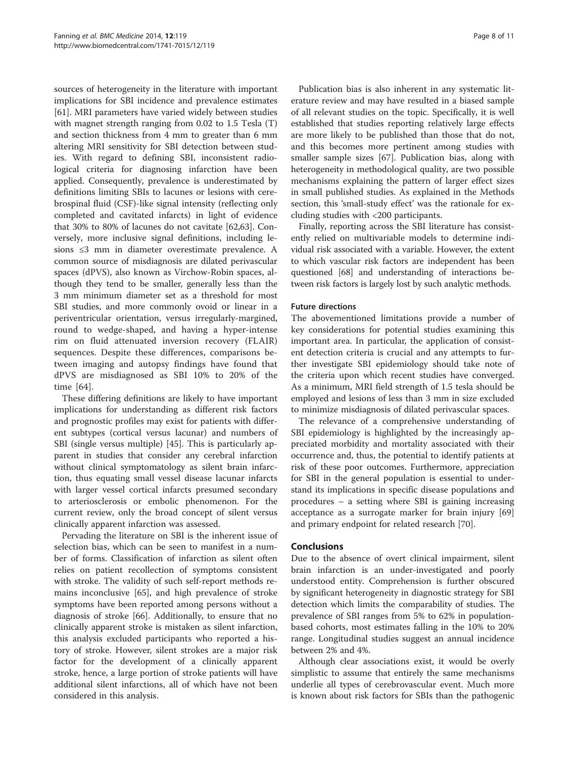sources of heterogeneity in the literature with important implications for SBI incidence and prevalence estimates [[61\]](#page-9-0). MRI parameters have varied widely between studies with magnet strength ranging from 0.02 to 1.5 Tesla (T) and section thickness from 4 mm to greater than 6 mm altering MRI sensitivity for SBI detection between studies. With regard to defining SBI, inconsistent radiological criteria for diagnosing infarction have been applied. Consequently, prevalence is underestimated by definitions limiting SBIs to lacunes or lesions with cerebrospinal fluid (CSF)-like signal intensity (reflecting only completed and cavitated infarcts) in light of evidence that 30% to 80% of lacunes do not cavitate [\[62](#page-9-0)[,63](#page-10-0)]. Conversely, more inclusive signal definitions, including lesions ≤3 mm in diameter overestimate prevalence. A common source of misdiagnosis are dilated perivascular spaces (dPVS), also known as Virchow-Robin spaces, although they tend to be smaller, generally less than the 3 mm minimum diameter set as a threshold for most SBI studies, and more commonly ovoid or linear in a periventricular orientation, versus irregularly-margined, round to wedge-shaped, and having a hyper-intense rim on fluid attenuated inversion recovery (FLAIR) sequences. Despite these differences, comparisons between imaging and autopsy findings have found that dPVS are misdiagnosed as SBI 10% to 20% of the time [[64\]](#page-10-0).

These differing definitions are likely to have important implications for understanding as different risk factors and prognostic profiles may exist for patients with different subtypes (cortical versus lacunar) and numbers of SBI (single versus multiple) [\[45](#page-9-0)]. This is particularly apparent in studies that consider any cerebral infarction without clinical symptomatology as silent brain infarction, thus equating small vessel disease lacunar infarcts with larger vessel cortical infarcts presumed secondary to arteriosclerosis or embolic phenomenon. For the current review, only the broad concept of silent versus clinically apparent infarction was assessed.

Pervading the literature on SBI is the inherent issue of selection bias, which can be seen to manifest in a number of forms. Classification of infarction as silent often relies on patient recollection of symptoms consistent with stroke. The validity of such self-report methods remains inconclusive [[65](#page-10-0)], and high prevalence of stroke symptoms have been reported among persons without a diagnosis of stroke [[66\]](#page-10-0). Additionally, to ensure that no clinically apparent stroke is mistaken as silent infarction, this analysis excluded participants who reported a history of stroke. However, silent strokes are a major risk factor for the development of a clinically apparent stroke, hence, a large portion of stroke patients will have additional silent infarctions, all of which have not been considered in this analysis.

Publication bias is also inherent in any systematic literature review and may have resulted in a biased sample of all relevant studies on the topic. Specifically, it is well established that studies reporting relatively large effects are more likely to be published than those that do not, and this becomes more pertinent among studies with smaller sample sizes [\[67](#page-10-0)]. Publication bias, along with heterogeneity in methodological quality, are two possible mechanisms explaining the pattern of larger effect sizes in small published studies. As explained in the [Methods](#page-1-0) section, this 'small-study effect' was the rationale for excluding studies with <200 participants.

Finally, reporting across the SBI literature has consistently relied on multivariable models to determine individual risk associated with a variable. However, the extent to which vascular risk factors are independent has been questioned [\[68\]](#page-10-0) and understanding of interactions between risk factors is largely lost by such analytic methods.

#### Future directions

The abovementioned limitations provide a number of key considerations for potential studies examining this important area. In particular, the application of consistent detection criteria is crucial and any attempts to further investigate SBI epidemiology should take note of the criteria upon which recent studies have converged. As a minimum, MRI field strength of 1.5 tesla should be employed and lesions of less than 3 mm in size excluded to minimize misdiagnosis of dilated perivascular spaces.

The relevance of a comprehensive understanding of SBI epidemiology is highlighted by the increasingly appreciated morbidity and mortality associated with their occurrence and, thus, the potential to identify patients at risk of these poor outcomes. Furthermore, appreciation for SBI in the general population is essential to understand its implications in specific disease populations and procedures – a setting where SBI is gaining increasing acceptance as a surrogate marker for brain injury [[69](#page-10-0)] and primary endpoint for related research [[70\]](#page-10-0).

#### Conclusions

Due to the absence of overt clinical impairment, silent brain infarction is an under-investigated and poorly understood entity. Comprehension is further obscured by significant heterogeneity in diagnostic strategy for SBI detection which limits the comparability of studies. The prevalence of SBI ranges from 5% to 62% in populationbased cohorts, most estimates falling in the 10% to 20% range. Longitudinal studies suggest an annual incidence between 2% and 4%.

Although clear associations exist, it would be overly simplistic to assume that entirely the same mechanisms underlie all types of cerebrovascular event. Much more is known about risk factors for SBIs than the pathogenic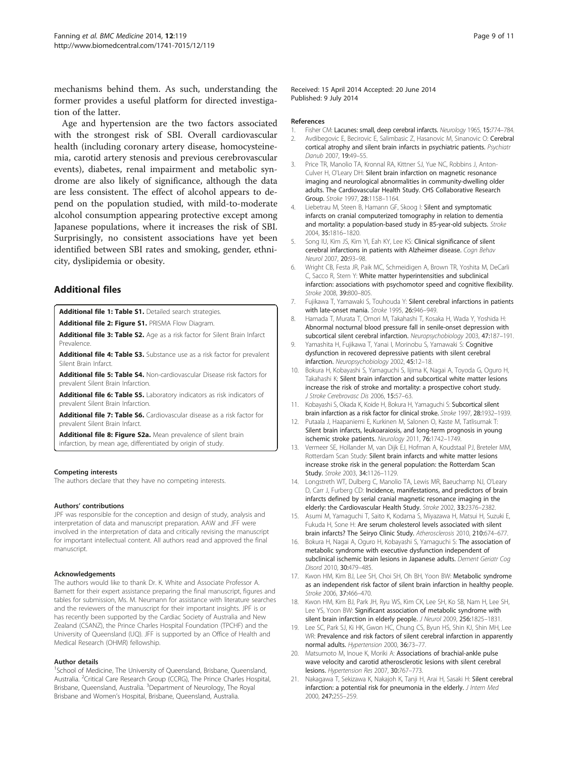<span id="page-8-0"></span>mechanisms behind them. As such, understanding the former provides a useful platform for directed investigation of the latter.

Age and hypertension are the two factors associated with the strongest risk of SBI. Overall cardiovascular health (including coronary artery disease, homocysteinemia, carotid artery stenosis and previous cerebrovascular events), diabetes, renal impairment and metabolic syndrome are also likely of significance, although the data are less consistent. The effect of alcohol appears to depend on the population studied, with mild-to-moderate alcohol consumption appearing protective except among Japanese populations, where it increases the risk of SBI. Surprisingly, no consistent associations have yet been identified between SBI rates and smoking, gender, ethnicity, dyslipidemia or obesity.

#### Additional files

[Additional file 1: Table S1.](http://www.biomedcentral.com/content/supplementary/s12916-014-0119-0-S1.docx) Detailed search strategies.

[Additional file 2: Figure S1.](http://www.biomedcentral.com/content/supplementary/s12916-014-0119-0-S2.pdf) PRISMA Flow Diagram.

[Additional file 3: Table S2.](http://www.biomedcentral.com/content/supplementary/s12916-014-0119-0-S3.docx) Age as a risk factor for Silent Brain Infarct Prevalence.

[Additional file 4: Table S3.](http://www.biomedcentral.com/content/supplementary/s12916-014-0119-0-S4.docx) Substance use as a risk factor for prevalent Silent Brain Infarct.

[Additional file 5: Table S4.](http://www.biomedcentral.com/content/supplementary/s12916-014-0119-0-S5.docx) Non-cardiovascular Disease risk factors for prevalent Silent Brain Infarction.

[Additional file 6: Table S5.](http://www.biomedcentral.com/content/supplementary/s12916-014-0119-0-S6.docx) Laboratory indicators as risk indicators of prevalent Silent Brain Infarction.

[Additional file 7: Table S6.](http://www.biomedcentral.com/content/supplementary/s12916-014-0119-0-S7.docx) Cardiovascular disease as a risk factor for prevalent Silent Brain Infarct.

[Additional file 8: Figure S2a.](http://www.biomedcentral.com/content/supplementary/s12916-014-0119-0-S8.docx) Mean prevalence of silent brain infarction, by mean age, differentiated by origin of study.

#### Competing interests

The authors declare that they have no competing interests.

#### Authors' contributions

JPF was responsible for the conception and design of study, analysis and interpretation of data and manuscript preparation. AAW and JFF were involved in the interpretation of data and critically revising the manuscript for important intellectual content. All authors read and approved the final manuscript.

#### Acknowledgements

The authors would like to thank Dr. K. White and Associate Professor A. Barnett for their expert assistance preparing the final manuscript, figures and tables for submission, Ms. M. Neumann for assistance with literature searches and the reviewers of the manuscript for their important insights. JPF is or has recently been supported by the Cardiac Society of Australia and New Zealand (CSANZ), the Prince Charles Hospital Foundation (TPCHF) and the University of Queensland (UQ). JFF is supported by an Office of Health and Medical Research (OHMR) fellowship.

#### Author details

<sup>1</sup>School of Medicine, The University of Queensland, Brisbane, Queensland, Australia. <sup>2</sup>Critical Care Research Group (CCRG), The Prince Charles Hospital, Brisbane, Queensland, Australia. <sup>3</sup>Department of Neurology, The Royal Brisbane and Women's Hospital, Brisbane, Queensland, Australia.

Received: 15 April 2014 Accepted: 20 June 2014 Published: 9 July 2014

#### References

- 1. Fisher CM: Lacunes: small, deep cerebral infarcts. Neurology 1965, 15:774-784.
- 2. Avdibegovic E, Becirovic E, Salimbasic Z, Hasanovic M, Sinanovic O: Cerebral cortical atrophy and silent brain infarcts in psychiatric patients. Psychiatr Danub 2007, 19:49–55.
- 3. Price TR, Manolio TA, Kronnal RA, Kittner SJ, Yue NC, Robbins J, Anton-Culver H, O'Leary DH: Silent brain infarction on magnetic resonance imaging and neurological abnormalities in community-dwelling older adults. The Cardiovascular Health Study. CHS Collaborative Research Group. Stroke 1997, 28:1158–1164.
- 4. Liebetrau M, Steen B, Hamann GF, Skoog I: Silent and symptomatic infarcts on cranial computerized tomography in relation to dementia and mortality: a population-based study in 85-year-old subjects. Stroke 2004, 35:1816–1820.
- 5. Song IU, Kim JS, Kim YI, Eah KY, Lee KS: Clinical significance of silent cerebral infarctions in patients with Alzheimer disease. Cogn Behav Neurol 2007, 20:93–98.
- 6. Wright CB, Festa JR, Paik MC, Schmeidigen A, Brown TR, Yoshita M, DeCarli C, Sacco R, Stern Y: White matter hyperintensities and subclinical infarction: associations with psychomotor speed and cognitive flexibility. Stroke 2008, 39:800–805.
- 7. Fujikawa T, Yamawaki S, Touhouda Y: Silent cerebral infarctions in patients with late-onset mania. Stroke 1995, 26:946–949.
- 8. Hamada T, Murata T, Omori M, Takahashi T, Kosaka H, Wada Y, Yoshida H: Abnormal nocturnal blood pressure fall in senile-onset depression with subcortical silent cerebral infarction. Neuropsychobiology 2003, 47:187–191.
- 9. Yamashita H, Fujikawa T, Yanai I, Morinobu S, Yamawaki S: Cognitive dysfunction in recovered depressive patients with silent cerebral infarction. Neuropsychobiology 2002, 45:12–18.
- 10. Bokura H, Kobayashi S, Yamaguchi S, Iijima K, Nagai A, Toyoda G, Oguro H, Takahashi K: Silent brain infarction and subcortical white matter lesions increase the risk of stroke and mortality: a prospective cohort study. J Stroke Cerebrovasc Dis 2006, 15:57–63.
- 11. Kobayashi S, Okada K, Koide H, Bokura H, Yamaguchi S: Subcortical silent brain infarction as a risk factor for clinical stroke. Stroke 1997, 28:1932–1939.
- 12. Putaala J, Haapaniemi E, Kurkinen M, Salonen O, Kaste M, Tatlisumak T: Silent brain infarcts, leukoaraiosis, and long-term prognosis in young ischemic stroke patients. Neurology 2011, 76:1742–1749.
- 13. Vermeer SE, Hollander M, van Dijk EJ, Hofman A, Koudstaal PJ, Breteler MM, Rotterdam Scan Study: Silent brain infarcts and white matter lesions increase stroke risk in the general population: the Rotterdam Scan Study. Stroke 2003, 34:1126–1129.
- 14. Longstreth WT, Dulberg C, Manolio TA, Lewis MR, Baeuchamp NJ, O'Leary D, Carr J, Furberg CD: Incidence, manifestations, and predictors of brain infarcts defined by serial cranial magnetic resonance imaging in the elderly: the Cardiovascular Health Study. Stroke 2002, 33:2376–2382.
- 15. Asumi M, Yamaguchi T, Saito K, Kodama S, Miyazawa H, Matsui H, Suzuki E, Fukuda H, Sone H: Are serum cholesterol levels associated with silent brain infarcts? The Seiryo Clinic Study. Atherosclerosis 2010, 210:674–677.
- 16. Bokura H, Nagai A, Oguro H, Kobayashi S, Yamaguchi S: The association of metabolic syndrome with executive dysfunction independent of subclinical ischemic brain lesions in Japanese adults. Dement Geriatr Cog Disord 2010, 30:479–485.
- 17. Kwon HM, Kim BJ, Lee SH, Choi SH, Oh BH, Yoon BW: Metabolic syndrome as an independent risk factor of silent brain infarction in healthy people. Stroke 2006, 37:466–470.
- 18. Kwon HM, Kim BJ, Park JH, Ryu WS, Kim CK, Lee SH, Ko SB, Nam H, Lee SH, Lee YS, Yoon BW: Significant association of metabolic syndrome with silent brain infarction in elderly people. J Neurol 2009, 256:1825–1831.
- 19. Lee SC, Park SJ, Ki HK, Gwon HC, Chung CS, Byun HS, Shin KJ, Shin MH, Lee WR: Prevalence and risk factors of silent cerebral infarction in apparently normal adults. Hypertension 2000, 36:73-77.
- 20. Matsumoto M, Inoue K, Moriki A: Associations of brachial-ankle pulse wave velocity and carotid atherosclerotic lesions with silent cerebral lesions. Hypertension Res 2007, 30:767–773.
- 21. Nakagawa T, Sekizawa K, Nakajoh K, Tanji H, Arai H, Sasaki H: Silent cerebral infarction: a potential risk for pneumonia in the elderly. J Intern Med 2000, 247:255–259.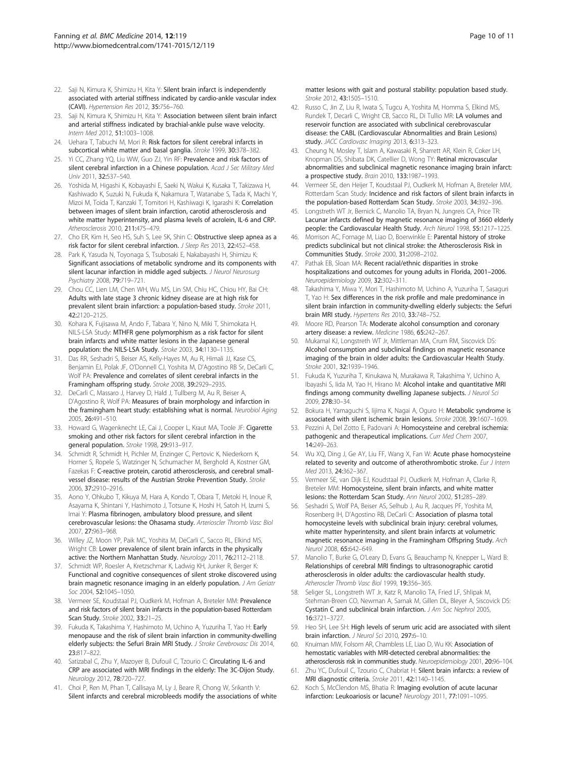- <span id="page-9-0"></span>22. Saji N, Kimura K, Shimizu H, Kita Y: Silent brain infarct is independently associated with arterial stiffness indicated by cardio-ankle vascular index (CAVI). Hypertension Res 2012, 35:756–760.
- 23. Saji N, Kimura K, Shimizu H, Kita Y: Association between silent brain infarct and arterial stiffness indicated by brachial-ankle pulse wave velocity. Intern Med 2012, 51:1003–1008.
- 24. Uehara T, Tabuchi M, Mori R: Risk factors for silent cerebral infarcts in subcortical white matter and basal ganglia. Stroke 1999, 30:378-382.
- 25. Yi CC, Zhang YQ, Liu WW, Guo ZJ, Yin RF: Prevalence and risk factors of silent cerebral infarction in a Chinese population. Acad J Sec Military Med Univ 2011, 32:537–540.
- 26. Yoshida M, Higashi K, Kobayashi E, Saeki N, Wakui K, Kusaka T, Takizawa H, Kashiwado K, Suzuki N, Fukuda K, Nakamura T, Watanabe S, Tada K, Machi Y, Mizoi M, Toida T, Kanzaki T, Tomitori H, Kashiwagi K, Igarashi K: Correlation between images of silent brain infarction, carotid atherosclerosis and white matter hyperintensity, and plasma levels of acrolein, IL-6 and CRP. Atherosclerosis 2010, 211:475–479.
- 27. Cho ER, Kim H, Seo HS, Suh S, Lee SK, Shin C: Obstructive sleep apnea as a risk factor for silent cerebral infarction. J Sleep Res 2013, 22:452-458.
- 28. Park K, Yasuda N, Toyonaga S, Tsubosaki E, Nakabayashi H, Shimizu K: Significant associations of metabolic syndrome and its components with silent lacunar infarction in middle aged subjects. J Neurol Neurosurg Psychiatry 2008, 79:719–721.
- 29. Chou CC, Lien LM, Chen WH, Wu MS, Lin SM, Chiu HC, Chiou HY, Bai CH: Adults with late stage 3 chronic kidney disease are at high risk for prevalent silent brain infarction: a population-based study. Stroke 2011, 42:2120–2125.
- 30. Kohara K, Fujisawa M, Ando F, Tabara Y, Nino N, Miki T, Shimokata H, NILS-LSA Study: MTHFR gene polymorphism as a risk factor for silent brain infarcts and white matter lesions in the Japanese general population: the NILS-LSA Study. Stroke 2003, 34:1130–1135.
- 31. Das RR, Seshadri S, Beiser AS, Kelly-Hayes M, Au R, Himali JJ, Kase CS, Benjamin EJ, Polak JF, O'Donnell CJ, Yoshita M, D'Agostino RB Sr, DeCarli C, Wolf PA: Prevalence and correlates of silent cerebral infarcts in the Framingham offspring study. Stroke 2008, 39:2929–2935.
- 32. DeCarli C, Massaro J, Harvey D, Hald J, Tullberg M, Au R, Beiser A, D'Agostino R, Wolf PA: Measures of brain morphology and infarction in the framingham heart study: establishing what is normal. Neurobiol Aging 2005, 26:491–510.
- 33. Howard G, Wagenknecht LE, Cai J, Cooper L, Kraut MA, Toole JF: Cigarette smoking and other risk factors for silent cerebral infarction in the general population. Stroke 1998, 29:913–917.
- 34. Schmidt R, Schmidt H, Pichler M, Enzinger C, Pertovic K, Niederkorn K, Horner S, Ropele S, Watzinger N, Schumacher M, Berghold A, Kostner GM, Fazekas F: C-reactive protein, carotid atherosclerosis, and cerebral smallvessel disease: results of the Austrian Stroke Prevention Study. Stroke 2006, 37:2910–2916.
- 35. Aono Y, Ohkubo T, Kikuya M, Hara A, Kondo T, Obara T, Metoki H, Inoue R, Asayama K, Shintani Y, Hashimoto J, Totsune K, Hoshi H, Satoh H, Izumi S, Imai Y: Plasma fibrinogen, ambulatory blood pressure, and silent cerebrovascular lesions: the Ohasama study. Arterioscler Thromb Vasc Biol 2007, 27:963–968.
- 36. Willey JZ, Moon YP, Paik MC, Yoshita M, DeCarli C, Sacco RL, Elkind MS, Wright CB: Lower prevalence of silent brain infarcts in the physically active: the Northern Manhattan Study. Neurology 2011, 76:2112–2118.
- 37. Schmidt WP, Roesler A, Kretzschmar K, Ladwig KH, Junker R, Berger K: Functional and cognitive consequences of silent stroke discovered using brain magnetic resonance imaging in an elderly population. J Am Geriatr Soc 2004, 52:1045–1050.
- 38. Vermeer SE, Koudstaal PJ, Oudkerk M, Hofman A, Breteler MM: Prevalence and risk factors of silent brain infarcts in the population-based Rotterdam Scan Study. Stroke 2002, 33:21–25.
- 39. Fukuda K, Takashima Y, Hashimoto M, Uchino A, Yuzuriha T, Yao H: Early menopause and the risk of silent brain infarction in community-dwelling elderly subjects: the Sefuri Brain MRI Study. J Stroke Cerebrovasc Dis 2014, 23:817–822.
- 40. Satizabal C, Zhu Y, Mazoyer B, Dufouil C, Tzourio C: Circulating IL-6 and CRP are associated with MRI findings in the elderly: The 3C-Dijon Study. Neurology 2012, 78:720–727.
- 41. Choi P, Ren M, Phan T, Callisaya M, Ly J, Beare R, Chong W, Srikanth V: Silent infarcts and cerebral microbleeds modify the associations of white

matter lesions with gait and postural stability: population based study. Stroke 2012, 43:1505–1510.

- 42. Russo C, Jin Z, Liu R, Iwata S, Tugcu A, Yoshita M, Homma S, Elkind MS, Rundek T, Decarli C, Wright CB, Sacco RL, Di Tullio MR: LA volumes and reservoir function are associated with subclinical cerebrovascular disease: the CABL (Cardiovascular Abnormalities and Brain Lesions) study. JACC Cardiovasc Imaging 2013, 6:313–323.
- 43. Cheung N, Mosley T, Islam A, Kawasaki R, Sharrett AR, Klein R, Coker LH, Knopman DS, Shibata DK, Catellier D, Wong TY: Retinal microvascular abnormalities and subclinical magnetic resonance imaging brain infarct: a prospective study. Brain 2010, 133:1987–1993.
- 44. Vermeer SE, den Heijer T, Koudstaal PJ, Oudkerk M, Hofman A, Breteler MM, Rotterdam Scan Study: Incidence and risk factors of silent brain infarcts in the population-based Rotterdam Scan Study. Stroke 2003, 34:392–396.
- 45. Longstreth WT Jr, Bernick C, Manolio TA, Bryan N, Jungreis CA, Price TR: Lacunar infarcts defined by magnetic resonance imaging of 3660 elderly people: the Cardiovascular Health Study. Arch Neurol 1998, 55:1217–1225.
- 46. Morrison AC, Fornage M, Liao D, Boerwinkle E: Parental history of stroke predicts subclinical but not clinical stroke: the Atherosclerosis Risk in Communities Study. Stroke 2000, 31:2098–2102.
- 47. Pathak EB, Sloan MA: Recent racial/ethnic disparities in stroke hospitalizations and outcomes for young adults in Florida, 2001–2006. Neuroepidemiology 2009, 32:302–311.
- 48. Takashima Y, Miwa Y, Mori T, Hashimoto M, Uchino A, Yuzuriha T, Sasaguri T, Yao H: Sex differences in the risk profile and male predominance in silent brain infarction in community-dwelling elderly subjects: the Sefuri brain MRI study. Hypertens Res 2010, 33:748–752.
- 49. Moore RD, Pearson TA: Moderate alcohol consumption and coronary artery disease: a review. Medicine 1986, 65:242–267.
- 50. Mukamal KJ, Longstreth WT Jr, Mittleman MA, Crum RM, Siscovick DS: Alcohol consumption and subclinical findings on magnetic resonance imaging of the brain in older adults: the Cardiovascular Health Study. Stroke 2001, 32:1939–1946.
- 51. Fukuda K, Yuzuriha T, Kinukawa N, Murakawa R, Takashima Y, Uchino A, Ibayashi S, Iida M, Yao H, Hirano M: Alcohol intake and quantitative MRI findings among community dwelling Japanese subjects. J Neurol Sci 2009, 278:30–34.
- 52. Bokura H, Yamaguchi S, Iijima K, Nagai A, Oguro H: Metabolic syndrome is associated with silent ischemic brain lesions. Stroke 2008, 39:1607–1609.
- 53. Pezzini A, Del Zotto E, Padovani A: Homocysteine and cerebral ischemia: pathogenic and therapeutical implications. Curr Med Chem 2007, 14:249–263.
- 54. Wu XQ, Ding J, Ge AY, Liu FF, Wang X, Fan W: Acute phase homocysteine related to severity and outcome of atherothrombotic stroke. Eur J Intern Med 2013, 24:362–367.
- 55. Vermeer SE, van Dijk EJ, Koudstaal PJ, Oudkerk M, Hofman A, Clarke R, Breteler MM: Homocysteine, silent brain infarcts, and white matter lesions: the Rotterdam Scan Study. Ann Neurol 2002, 51:285–289.
- 56. Seshadri S, Wolf PA, Beiser AS, Selhub J, Au R, Jacques PF, Yoshita M, Rosenberg IH, D'Agostino RB, DeCarli C: Association of plasma total homocysteine levels with subclinical brain injury: cerebral volumes, white matter hyperintensity, and silent brain infarcts at volumetric magnetic resonance imaging in the Framingham Offspring Study. Arch Neurol 2008, 65:642–649.
- 57. Manolio T, Burke G, O'Leary D, Evans G, Beauchamp N, Knepper L, Ward B: Relationships of cerebral MRI findings to ultrasonographic carotid atherosclerosis in older adults: the cardiovascular health study. Atheroscler Thromb Vasc Biol 1999, 19:356–365.
- 58. Seliger SL, Longstreth WT Jr, Katz R, Manolio TA, Fried LF, Shlipak M, Stehman-Breen CO, Newman A, Sarnak M, Gillen DL, Bleyer A, Siscovick DS: Cystatin C and subclinical brain infarction. J Am Soc Nephrol 2005, 16:3721–3727.
- 59. Heo SH, Lee SH: High levels of serum uric acid are associated with silent brain infarction. J Neurol Sci 2010, 297:6–10.
- 60. Knuiman MW, Folsom AR, Chambless LE, Liao D, Wu KK: Association of hemostatic variables with MRI-detected cerebral abnormalities: the atherosclerosis risk in communities study. Neuroepidemiology 2001, 20:96–104.
- 61. Zhu YC, Dufouil C, Tzourio C, Chabriat H: Silent brain infarcts: a review of MRI diagnostic criteria. Stroke 2011, 42:1140–1145.
- 62. Koch S, McClendon MS, Bhatia R: Imaging evolution of acute lacunar infarction: Leukoariosis or lacune? Neurology 2011, 77:1091–1095.